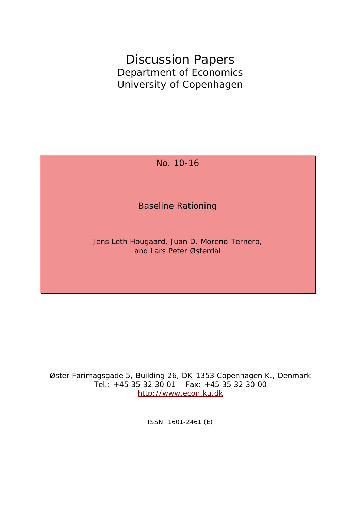Discussion Papers Department of Economics University of Copenhagen

No. 10-16

Baseline Rationing

Jens Leth Hougaard, Juan D. Moreno-Ternero, and Lars Peter Østerdal

Øster Farimagsgade 5, Building 26, DK-1353 Copenhagen K., Denmark Tel.: +45 35 32 30 01 – Fax: +45 35 32 30 00 [http://www.econ.ku.dk](http://www.econ.ku.dk/)

ISSN: 1601-2461 (E)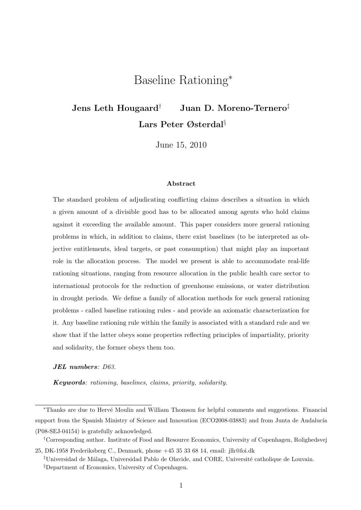# Baseline Rationing<sup>∗</sup>

# Jens Leth Hougaard<sup>†</sup> Juan D. Moreno-Ternero<sup>‡</sup> Lars Peter Østerdal§

June 15, 2010

#### Abstract

The standard problem of adjudicating conflicting claims describes a situation in which a given amount of a divisible good has to be allocated among agents who hold claims against it exceeding the available amount. This paper considers more general rationing problems in which, in addition to claims, there exist baselines (to be interpreted as objective entitlements, ideal targets, or past consumption) that might play an important role in the allocation process. The model we present is able to accommodate real-life rationing situations, ranging from resource allocation in the public health care sector to international protocols for the reduction of greenhouse emissions, or water distribution in drought periods. We define a family of allocation methods for such general rationing problems - called baseline rationing rules - and provide an axiomatic characterization for it. Any baseline rationing rule within the family is associated with a standard rule and we show that if the latter obeys some properties reflecting principles of impartiality, priority and solidarity, the former obeys them too.

#### JEL numbers: D63.

Keywords: rationing, baselines, claims, priority, solidarity.

†Corresponding author. Institute of Food and Resource Economics, University of Copenhagen, Rolighedsvej

<sup>∗</sup>Thanks are due to Herv´e Moulin and William Thomson for helpful comments and suggestions. Financial support from the Spanish Ministry of Science and Innovation (ECO2008-03883) and from Junta de Andalucía (P08-SEJ-04154) is gratefully acknowledged.

<sup>25,</sup> DK-1958 Frederiksberg C., Denmark, phone +45 35 33 68 14, email: jl[h@foi.dk](mailto:@foi.dk)

<sup>&</sup>lt;sup>‡</sup>Universidad de Málaga, Universidad Pablo de Olavide, and CORE, Université catholique de Louvain. §Department of Economics, University of Copenhagen.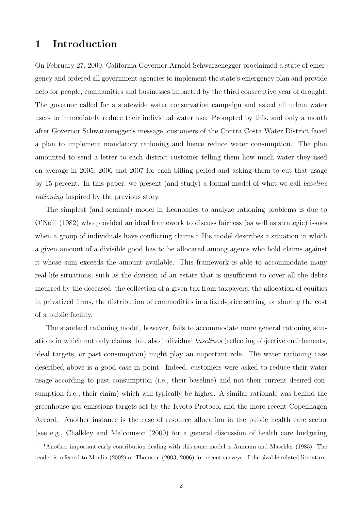## 1 Introduction

On February 27, 2009, California Governor Arnold Schwarzenegger proclaimed a state of emergency and ordered all government agencies to implement the state's emergency plan and provide help for people, communities and businesses impacted by the third consecutive year of drought. The governor called for a statewide water conservation campaign and asked all urban water users to immediately reduce their individual water use. Prompted by this, and only a month after Governor Schwarzenegger's message, customers of the Contra Costa Water District faced a plan to implement mandatory rationing and hence reduce water consumption. The plan amounted to send a letter to each district customer telling them how much water they used on average in 2005, 2006 and 2007 for each billing period and asking them to cut that usage by 15 percent. In this paper, we present (and study) a formal model of what we call baseline rationing inspired by the previous story.

The simplest (and seminal) model in Economics to analyze rationing problems is due to O'Neill (1982) who provided an ideal framework to discuss fairness (as well as strategic) issues when a group of individuals have conflicting claims.<sup>1</sup> His model describes a situation in which a given amount of a divisible good has to be allocated among agents who hold claims against it whose sum exceeds the amount available. This framework is able to accommodate many real-life situations, such as the division of an estate that is insufficient to cover all the debts incurred by the deceased, the collection of a given tax from taxpayers, the allocation of equities in privatized firms, the distribution of commodities in a fixed-price setting, or sharing the cost of a public facility.

The standard rationing model, however, fails to accommodate more general rationing situations in which not only claims, but also individual baselines (reflecting objective entitlements, ideal targets, or past consumption) might play an important role. The water rationing case described above is a good case in point. Indeed, customers were asked to reduce their water usage according to past consumption (i.e., their baseline) and not their current desired consumption (i.e., their claim) which will typically be higher. A similar rationale was behind the greenhouse gas emissions targets set by the Kyoto Protocol and the more recent Copenhagen Accord. Another instance is the case of resource allocation in the public health care sector (see e.g., Chalkley and Malcomson (2000) for a general discussion of health care budgeting

<sup>1</sup>Another important early contribution dealing with this same model is Aumann and Maschler (1985). The reader is referred to Moulin (2002) or Thomson (2003, 2006) for recent surveys of the sizable related literature.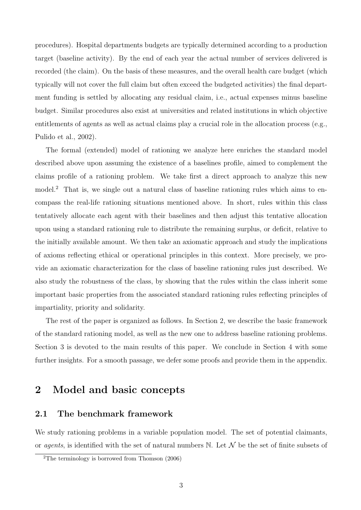procedures). Hospital departments budgets are typically determined according to a production target (baseline activity). By the end of each year the actual number of services delivered is recorded (the claim). On the basis of these measures, and the overall health care budget (which typically will not cover the full claim but often exceed the budgeted activities) the final department funding is settled by allocating any residual claim, i.e., actual expenses minus baseline budget. Similar procedures also exist at universities and related institutions in which objective entitlements of agents as well as actual claims play a crucial role in the allocation process (e.g., Pulido et al., 2002).

The formal (extended) model of rationing we analyze here enriches the standard model described above upon assuming the existence of a baselines profile, aimed to complement the claims profile of a rationing problem. We take first a direct approach to analyze this new model.<sup>2</sup> That is, we single out a natural class of baseline rationing rules which aims to encompass the real-life rationing situations mentioned above. In short, rules within this class tentatively allocate each agent with their baselines and then adjust this tentative allocation upon using a standard rationing rule to distribute the remaining surplus, or deficit, relative to the initially available amount. We then take an axiomatic approach and study the implications of axioms reflecting ethical or operational principles in this context. More precisely, we provide an axiomatic characterization for the class of baseline rationing rules just described. We also study the robustness of the class, by showing that the rules within the class inherit some important basic properties from the associated standard rationing rules reflecting principles of impartiality, priority and solidarity.

The rest of the paper is organized as follows. In Section 2, we describe the basic framework of the standard rationing model, as well as the new one to address baseline rationing problems. Section 3 is devoted to the main results of this paper. We conclude in Section 4 with some further insights. For a smooth passage, we defer some proofs and provide them in the appendix.

## 2 Model and basic concepts

## 2.1 The benchmark framework

We study rationing problems in a variable population model. The set of potential claimants, or *agents*, is identified with the set of natural numbers  $\mathbb N$ . Let  $\mathcal N$  be the set of finite subsets of

 $2$ The terminology is borrowed from Thomson  $(2006)$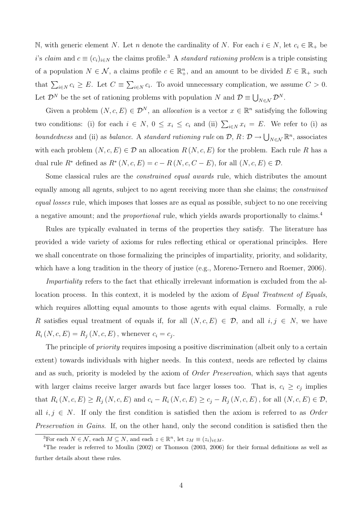N, with generic element N. Let n denote the cardinality of N. For each  $i \in N$ , let  $c_i \in \mathbb{R}_+$  be i's claim and  $c \equiv (c_i)_{i \in N}$  the claims profile.<sup>3</sup> A *standard rationing problem* is a triple consisting of a population  $N \in \mathcal{N}$ , a claims profile  $c \in \mathbb{R}_+^n$ , and an amount to be divided  $E \in \mathbb{R}_+$  such that  $\sum_{i\in\mathbb{N}} c_i \geq E$ . Let  $C \equiv \sum_{i\in\mathbb{N}} c_i$ . To avoid unnecessary complication, we assume  $C > 0$ . Let  $\mathcal{D}^N$  be the set of rationing problems with population N and  $\mathcal{D} \equiv \bigcup_{N \in \mathcal{N}} \mathcal{D}^N$ .

Given a problem  $(N, c, E) \in \mathcal{D}^N$ , an *allocation* is a vector  $x \in \mathbb{R}^n$  satisfying the following two conditions: (i) for each  $i \in N$ ,  $0 \le x_i \le c_i$  and (ii)  $\sum_{i \in N} x_i = E$ . We refer to (i) as boundedness and (ii) as balance. A standard rationing rule on  $\mathcal{D}, R: \mathcal{D} \to \bigcup_{N \in \mathcal{N}} \mathbb{R}^n$ , associates with each problem  $(N, c, E) \in \mathcal{D}$  an allocation  $R(N, c, E)$  for the problem. Each rule R has a dual rule  $R^*$  defined as  $R^*(N, c, E) = c - R(N, c, C - E)$ , for all  $(N, c, E) \in \mathcal{D}$ .

Some classical rules are the constrained equal awards rule, which distributes the amount equally among all agents, subject to no agent receiving more than she claims; the constrained equal losses rule, which imposes that losses are as equal as possible, subject to no one receiving a negative amount; and the *proportional* rule, which yields awards proportionally to claims.<sup>4</sup>

Rules are typically evaluated in terms of the properties they satisfy. The literature has provided a wide variety of axioms for rules reflecting ethical or operational principles. Here we shall concentrate on those formalizing the principles of impartiality, priority, and solidarity, which have a long tradition in the theory of justice (e.g., Moreno-Ternero and Roemer, 2006).

Impartiality refers to the fact that ethically irrelevant information is excluded from the allocation process. In this context, it is modeled by the axiom of Equal Treatment of Equals, which requires allotting equal amounts to those agents with equal claims. Formally, a rule R satisfies equal treatment of equals if, for all  $(N, c, E) \in \mathcal{D}$ , and all  $i, j \in N$ , we have  $R_i (N, c, E) = R_j (N, c, E)$ , whenever  $c_i = c_j$ .

The principle of *priority* requires imposing a positive discrimination (albeit only to a certain extent) towards individuals with higher needs. In this context, needs are reflected by claims and as such, priority is modeled by the axiom of *Order Preservation*, which says that agents with larger claims receive larger awards but face larger losses too. That is,  $c_i \geq c_j$  implies that  $R_i (N, c, E) \ge R_j (N, c, E)$  and  $c_i - R_i (N, c, E) \ge c_j - R_j (N, c, E)$ , for all  $(N, c, E) \in \mathcal{D}$ , all  $i, j \in N$ . If only the first condition is satisfied then the axiom is referred to as Order Preservation in Gains. If, on the other hand, only the second condition is satisfied then the

<sup>&</sup>lt;sup>3</sup>For each  $N \in \mathcal{N}$ , each  $M \subseteq N$ , and each  $z \in \mathbb{R}^n$ , let  $z_M \equiv (z_i)_{i \in M}$ .

<sup>4</sup>The reader is referred to Moulin (2002) or Thomson (2003, 2006) for their formal definitions as well as further details about these rules.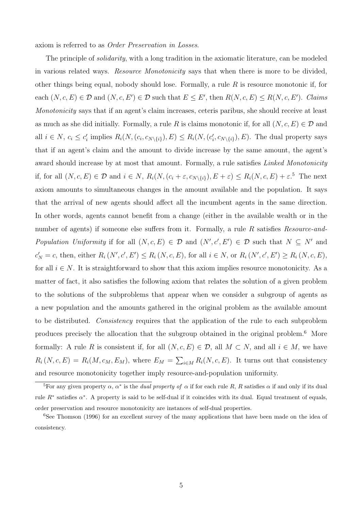axiom is referred to as Order Preservation in Losses.

The principle of *solidarity*, with a long tradition in the axiomatic literature, can be modeled in various related ways. *Resource Monotonicity* says that when there is more to be divided, other things being equal, nobody should lose. Formally, a rule  $R$  is resource monotonic if, for each  $(N, c, E) \in \mathcal{D}$  and  $(N, c, E') \in \mathcal{D}$  such that  $E \leq E'$ , then  $R(N, c, E) \leq R(N, c, E')$ . Claims Monotonicity says that if an agent's claim increases, ceteris paribus, she should receive at least as much as she did initially. Formally, a rule R is claims monotonic if, for all  $(N, c, E) \in \mathcal{D}$  and all  $i \in N$ ,  $c_i \leq c'_i$  implies  $R_i(N, (c_i, c_{N\setminus\{i\}}), E) \leq R_i(N, (c'_i, c_{N\setminus\{i\}}), E)$ . The dual property says that if an agent's claim and the amount to divide increase by the same amount, the agent's award should increase by at most that amount. Formally, a rule satisfies *Linked Monotonicity* if, for all  $(N, c, E) \in \mathcal{D}$  and  $i \in N$ ,  $R_i(N, (c_i + \varepsilon, c_{N\setminus\{i\}}), E + \varepsilon) \leq R_i(N, c, E) + \varepsilon$ .<sup>5</sup> The next axiom amounts to simultaneous changes in the amount available and the population. It says that the arrival of new agents should affect all the incumbent agents in the same direction. In other words, agents cannot benefit from a change (either in the available wealth or in the number of agents) if someone else suffers from it. Formally, a rule R satisfies Resource-and-Population Uniformity if for all  $(N, c, E) \in \mathcal{D}$  and  $(N', c', E') \in \mathcal{D}$  such that  $N \subseteq N'$  and  $c'_{N} = c$ , then, either  $R_{i}(N', c', E') \leq R_{i}(N, c, E)$ , for all  $i \in N$ , or  $R_{i}(N', c', E') \geq R_{i}(N, c, E)$ , for all  $i \in N$ . It is straightforward to show that this axiom implies resource monotonicity. As a matter of fact, it also satisfies the following axiom that relates the solution of a given problem to the solutions of the subproblems that appear when we consider a subgroup of agents as a new population and the amounts gathered in the original problem as the available amount to be distributed. Consistency requires that the application of the rule to each subproblem produces precisely the allocation that the subgroup obtained in the original problem.<sup>6</sup> More formally: A rule R is consistent if, for all  $(N, c, E) \in \mathcal{D}$ , all  $M \subset N$ , and all  $i \in M$ , we have  $R_i(N, c, E) = R_i(M, c_M, E_M)$ , where  $E_M = \sum_{i \in M} R_i(N, c, E)$ . It turns out that consistency and resource monotonicity together imply resource-and-population uniformity.

<sup>&</sup>lt;sup>5</sup>For any given property  $\alpha$ ,  $\alpha^*$  is the *dual property of*  $\alpha$  if for each rule R, R satisfies  $\alpha$  if and only if its dual rule  $R^*$  satisfies  $\alpha^*$ . A property is said to be self-dual if it coincides with its dual. Equal treatment of equals, order preservation and resource monotonicity are instances of self-dual properties.

<sup>&</sup>lt;sup>6</sup>See Thomson (1996) for an excellent survey of the many applications that have been made on the idea of consistency.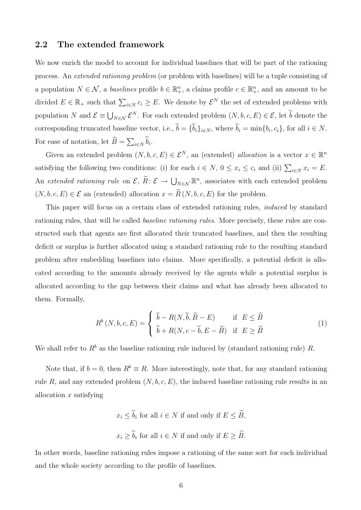### 2.2 The extended framework

We now enrich the model to account for individual baselines that will be part of the rationing process. An extended rationing problem (or problem with baselines) will be a tuple consisting of a population  $N \in \mathcal{N}$ , a baselines profile  $b \in \mathbb{R}_+^n$ , a claims profile  $c \in \mathbb{R}_+^n$ , and an amount to be divided  $E \in \mathbb{R}_+$  such that  $\sum_{i \in N} c_i \ge E$ . We denote by  $\mathcal{E}^N$  the set of extended problems with population N and  $\mathcal{E} \equiv \bigcup_{N \in \mathcal{N}} \mathcal{E}^N$ . For each extended problem  $(N, b, c, E) \in \mathcal{E}$ , let b denote the corresponding truncated baseline vector, i.e.,  $b = \{b_i\}_{i \in N}$ , where  $b_i = \min\{b_i, c_i\}$ , for all  $i \in N$ . For ease of notation, let  $B = \sum_{i \in N} b_i$ .

Given an extended problem  $(N, b, c, E) \in \mathcal{E}^N$ , an (extended) allocation is a vector  $x \in \mathbb{R}^n$ satisfying the following two conditions: (i) for each  $i \in N$ ,  $0 \le x_i \le c_i$  and (ii)  $\sum_{i \in N} x_i = E$ . An extended rationing rule on  $\mathcal{E}, \ \widetilde{R} : \mathcal{E} \to \bigcup_{N \in \mathcal{N}} \mathbb{R}^n$ , associates with each extended problem  $(N, b, c, E) \in \mathcal{E}$  an (extended) allocation  $x = \widetilde{R}(N, b, c, E)$  for the problem.

This paper will focus on a certain class of extended rationing rules, induced by standard rationing rules, that will be called *baseline rationing rules*. More precisely, these rules are constructed such that agents are first allocated their truncated baselines, and then the resulting deficit or surplus is further allocated using a standard rationing rule to the resulting standard problem after embedding baselines into claims. More specifically, a potential deficit is allocated according to the amounts already received by the agents while a potential surplus is allocated according to the gap between their claims and what has already been allocated to them. Formally,

$$
R^{b}(N,b,c,E) = \begin{cases} \widetilde{b} - R(N,\widetilde{b},\widetilde{B} - E) & \text{if } E \leq \widetilde{B} \\ \widetilde{b} + R(N,c - \widetilde{b},E - \widetilde{B}) & \text{if } E \geq \widetilde{B} \end{cases}
$$
(1)

We shall refer to  $R^b$  as the baseline rationing rule induced by (standard rationing rule) R.

Note that, if  $b = 0$ , then  $R^b \equiv R$ . More interestingly, note that, for any standard rationing rule R, and any extended problem  $(N, b, c, E)$ , the induced baseline rationing rule results in an allocation  $x$  satisfying

> $x_i \leq b_i$  for all  $i \in N$  if and only if  $E \leq B$ ,  $x_i \ge b_i$  for all  $i \in N$  if and only if  $E \ge B$ .

In other words, baseline rationing rules impose a rationing of the same sort for each individual and the whole society according to the profile of baselines.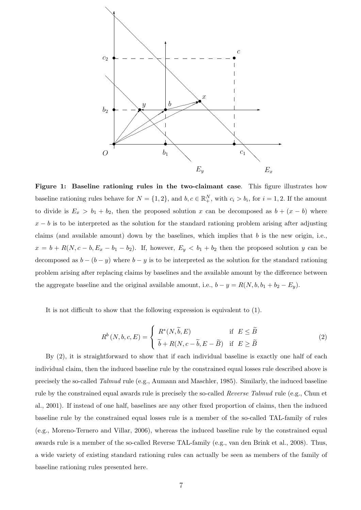

Figure 1: Baseline rationing rules in the two-claimant case. This figure illustrates how baseline rationing rules behave for  $N = \{1, 2\}$ , and  $b, c \in \mathbb{R}^N_+$ , with  $c_i > b_i$ , for  $i = 1, 2$ . If the amount to divide is  $E_x > b_1 + b_2$ , then the proposed solution x can be decomposed as  $b + (x - b)$  where  $x - b$  is to be interpreted as the solution for the standard rationing problem arising after adjusting claims (and available amount) down by the baselines, which implies that  $b$  is the new origin, i.e.,  $x = b + R(N, c - b, E_x - b_1 - b_2)$ . If, however,  $E_y < b_1 + b_2$  then the proposed solution y can be decomposed as  $b - (b - y)$  where  $b - y$  is to be interpreted as the solution for the standard rationing problem arising after replacing claims by baselines and the available amount by the difference between the aggregate baseline and the original available amount, i.e.,  $b - y = R(N, b, b_1 + b_2 - E_y)$ .

It is not difficult to show that the following expression is equivalent to (1).

$$
R^{b}(N,b,c,E) = \begin{cases} R^{*}(N,\widetilde{b},E) & \text{if } E \leq \widetilde{B} \\ \widetilde{b} + R(N,c-\widetilde{b},E-\widetilde{B}) & \text{if } E \geq \widetilde{B} \end{cases}
$$
 (2)

By  $(2)$ , it is straightforward to show that if each individual baseline is exactly one half of each individual claim, then the induced baseline rule by the constrained equal losses rule described above is precisely the so-called Talmud rule (e.g., Aumann and Maschler, 1985). Similarly, the induced baseline rule by the constrained equal awards rule is precisely the so-called Reverse Talmud rule (e.g., Chun et al., 2001). If instead of one half, baselines are any other fixed proportion of claims, then the induced baseline rule by the constrained equal losses rule is a member of the so-called TAL-family of rules (e.g., Moreno-Ternero and Villar, 2006), whereas the induced baseline rule by the constrained equal awards rule is a member of the so-called Reverse TAL-family (e.g., van den Brink et al., 2008). Thus, a wide variety of existing standard rationing rules can actually be seen as members of the family of baseline rationing rules presented here.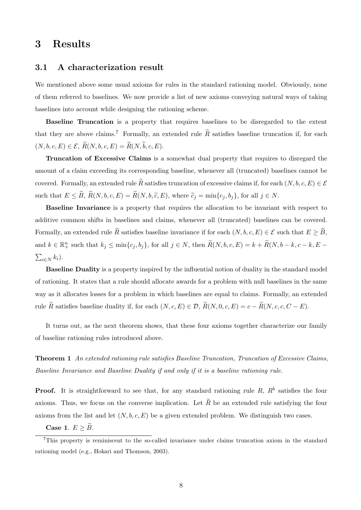## 3 Results

### 3.1 A characterization result

We mentioned above some usual axioms for rules in the standard rationing model. Obviously, none of them referred to baselines. We now provide a list of new axioms conveying natural ways of taking baselines into account while designing the rationing scheme.

Baseline Truncation is a property that requires baselines to be disregarded to the extent that they are above claims.<sup>7</sup> Formally, an extended rule  $\widetilde{R}$  satisfies baseline truncation if, for each  $(N, b, c, E) \in \mathcal{E}, \widetilde{R}(N, b, c, E) = \widetilde{R}(N, \widetilde{b}, c, E).$ 

Truncation of Excessive Claims is a somewhat dual property that requires to disregard the amount of a claim exceeding its corresponding baseline, whenever all (truncated) baselines cannot be covered. Formally, an extended rule  $\widetilde{R}$  satisfies truncation of excessive claims if, for each  $(N, b, c, E) \in \mathcal{E}$ such that  $E \leq \widetilde{B}$ ,  $\widetilde{R}(N, b, c, E) = \widetilde{R}(N, b, \widetilde{c}, E)$ , where  $\widetilde{c}_j = \min\{c_j, b_j\}$ , for all  $j \in N$ .

Baseline Invariance is a property that requires the allocation to be invariant with respect to additive common shifts in baselines and claims, whenever all (truncated) baselines can be covered. Formally, an extended rule  $\widetilde{R}$  satisfies baseline invariance if for each  $(N, b, c, E) \in \mathcal{E}$  such that  $E \geq \widetilde{B}$ , and  $k \in \mathbb{R}^n_+$  such that  $k_j \le \min\{c_j, b_j\}$ , for all  $j \in N$ , then  $\widetilde{R}(N, b, c, E) = k + \widetilde{R}(N, b - k, c - k, E - k)$  $\sum_{i\in N}k_i$ ).

Baseline Duality is a property inspired by the influential notion of duality in the standard model of rationing. It states that a rule should allocate awards for a problem with null baselines in the same way as it allocates losses for a problem in which baselines are equal to claims. Formally, an extended rule  $\widetilde{R}$  satisfies baseline duality if, for each  $(N, c, E) \in \mathcal{D}, \widetilde{R}(N, 0, c, E) = c - \widetilde{R}(N, c, c, C - E)$ .

It turns out, as the next theorem shows, that these four axioms together characterize our family of baseline rationing rules introduced above.

Theorem 1 An extended rationing rule satisfies Baseline Truncation, Truncation of Excessive Claims, Baseline Invariance and Baseline Duality if and only if it is a baseline rationing rule.

**Proof.** It is straightforward to see that, for any standard rationing rule R,  $R<sup>b</sup>$  satisfies the four axioms. Thus, we focus on the converse implication. Let  $\tilde{R}$  be an extended rule satisfying the four axioms from the list and let  $(N, b, c, E)$  be a given extended problem. We distinguish two cases.

Case 1.  $E \geq \widetilde{B}$ .

<sup>7</sup>This property is reminiscent to the so-called invariance under claims truncation axiom in the standard rationing model (e.g., Hokari and Thomson, 2003).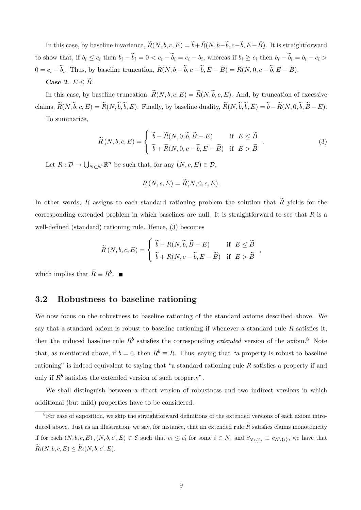In this case, by baseline invariance,  $\widetilde{R}(N, b, c, E) = \widetilde{b} + \widetilde{R}(N, b-\widetilde{b}, c-\widetilde{b}, E-\widetilde{B})$ . It is straightforward to show that, if  $b_i \leq c_i$  then  $b_i - b_i = 0 < c_i - b_i = c_i - b_i$ , whereas if  $b_i \geq c_i$  then  $b_i - b_i = b_i - c_i >$  $0 = c_i - b_i$ . Thus, by baseline truncation,  $R(N, b - b, c - b, E - B) = R(N, 0, c - b, E - B)$ .

### Case 2.  $E \leq B$ .

In this case, by baseline truncation,  $\widetilde{R}(N, b, c, E) = \widetilde{R}(N, \widetilde{b}, c, E)$ . And, by truncation of excessive claims,  $\widetilde{R}(N,\widetilde{b},c,E) = \widetilde{R}(N,\widetilde{b},\widetilde{b},E)$ . Finally, by baseline duality,  $\widetilde{R}(N,\widetilde{b},\widetilde{b},E) = \widetilde{b} - \widetilde{R}(N,0,\widetilde{b},\widetilde{B}-E)$ .

To summarize,

$$
\widetilde{R}(N, b, c, E) = \begin{cases}\n\widetilde{b} - \widetilde{R}(N, 0, \widetilde{b}, \widetilde{B} - E) & \text{if } E \leq \widetilde{B} \\
\widetilde{b} + \widetilde{R}(N, 0, c - \widetilde{b}, E - \widetilde{B}) & \text{if } E > \widetilde{B}\n\end{cases}.
$$
\n(3)

Let  $R: \mathcal{D} \to \bigcup_{N \in \mathcal{N}} \mathbb{R}^n$  be such that, for any  $(N, c, E) \in \mathcal{D}$ ,

$$
R(N,c,E) = \tilde{R}(N,0,c,E).
$$

In other words, R assigns to each standard rationing problem the solution that  $\tilde{R}$  yields for the corresponding extended problem in which baselines are null. It is straightforward to see that  $R$  is a well-defined (standard) rationing rule. Hence, (3) becomes

$$
\widetilde{R}(N, b, c, E) = \begin{cases}\n\widetilde{b} - R(N, \widetilde{b}, \widetilde{B} - E) & \text{if } E \leq \widetilde{B} \\
\widetilde{b} + R(N, c - \widetilde{b}, E - \widetilde{B}) & \text{if } E > \widetilde{B}\n\end{cases},
$$

which implies that  $\widetilde{R} \equiv R^b$ .

## 3.2 Robustness to baseline rationing

We now focus on the robustness to baseline rationing of the standard axioms described above. We say that a standard axiom is robust to baseline rationing if whenever a standard rule  $R$  satisfies it, then the induced baseline rule  $R<sup>b</sup>$  satisfies the corresponding *extended* version of the axiom.<sup>8</sup> Note that, as mentioned above, if  $b = 0$ , then  $R^b \equiv R$ . Thus, saying that "a property is robust to baseline rationing" is indeed equivalent to saying that "a standard rationing rule  $R$  satisfies a property if and only if  $R^b$  satisfies the extended version of such property".

We shall distinguish between a direct version of robustness and two indirect versions in which additional (but mild) properties have to be considered.

<sup>8</sup>For ease of exposition, we skip the straightforward definitions of the extended versions of each axiom introduced above. Just as an illustration, we say, for instance, that an extended rule  $\tilde{R}$  satisfies claims monotonicity if for each  $(N, b, c, E), (N, b, c', E) \in \mathcal{E}$  such that  $c_i \leq c'_i$  for some  $i \in N$ , and  $c'_{N\setminus\{i\}} \equiv c_{N\setminus\{i\}}$ , we have that  $\widetilde{R}_i(N, b, c, E) \leq \widetilde{R}_i(N, b, c', E).$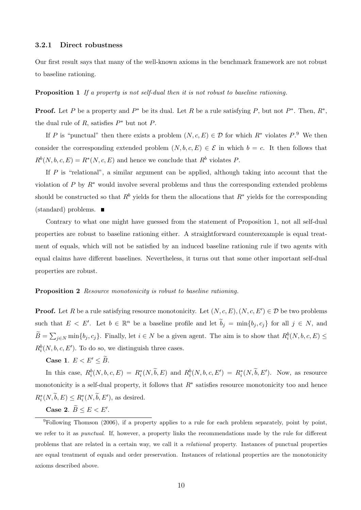#### 3.2.1 Direct robustness

Our first result says that many of the well-known axioms in the benchmark framework are not robust to baseline rationing.

Proposition 1 If a property is not self-dual then it is not robust to baseline rationing.

**Proof.** Let P be a property and  $P^*$  be its dual. Let R be a rule satisfying P, but not  $P^*$ . Then,  $R^*$ , the dual rule of  $R$ , satisfies  $P^*$  but not  $P$ .

If P is "punctual" then there exists a problem  $(N, c, E) \in \mathcal{D}$  for which  $R^*$  violates  $P^9$ . We then consider the corresponding extended problem  $(N, b, c, E) \in \mathcal{E}$  in which  $b = c$ . It then follows that  $R^b(N, b, c, E) = R^*(N, c, E)$  and hence we conclude that  $R^b$  violates P.

If  $P$  is "relational", a similar argument can be applied, although taking into account that the violation of P by  $R^*$  would involve several problems and thus the corresponding extended problems should be constructed so that  $R^b$  yields for them the allocations that  $R^*$  yields for the corresponding (standard) problems.

Contrary to what one might have guessed from the statement of Proposition 1, not all self-dual properties are robust to baseline rationing either. A straightforward counterexample is equal treatment of equals, which will not be satisfied by an induced baseline rationing rule if two agents with equal claims have different baselines. Nevertheless, it turns out that some other important self-dual properties are robust.

#### **Proposition 2** Resource monotonicity is robust to baseline rationing.

**Proof.** Let R be a rule satisfying resource monotonicity. Let  $(N, c, E), (N, c, E') \in \mathcal{D}$  be two problems such that  $E \leq E'$ . Let  $b \in \mathbb{R}^n$  be a baseline profile and let  $\tilde{b}_j = \min\{b_j, c_j\}$  for all  $j \in N$ , and  $\widetilde{B} = \sum_{j \in N} \min\{b_j, c_j\}$ . Finally, let  $i \in N$  be a given agent. The aim is to show that  $R_i^b(N, b, c, E) \le$  $R_i^b(N, b, c, E')$ . To do so, we distinguish three cases.

### Case 1.  $E < E' < \widetilde{B}$ .

In this case,  $R_i^b(N, b, c, E) = R_i^*(N, \tilde{b}, E)$  and  $R_i^b(N, b, c, E') = R_i^*(N, \tilde{b}, E')$ . Now, as resource monotonicity is a self-dual property, it follows that  $R^*$  satisfies resource monotonicity too and hence  $R_i^*(N,\tilde{b},E) \leq R_i^*(N,\tilde{b},E'),$  as desired.

Case 2.  $\widetilde{B} \leq E < E'$ .

<sup>&</sup>lt;sup>9</sup>Following Thomson (2006), if a property applies to a rule for each problem separately, point by point, we refer to it as punctual. If, however, a property links the recommendations made by the rule for different problems that are related in a certain way, we call it a relational property. Instances of punctual properties are equal treatment of equals and order preservation. Instances of relational properties are the monotonicity axioms described above.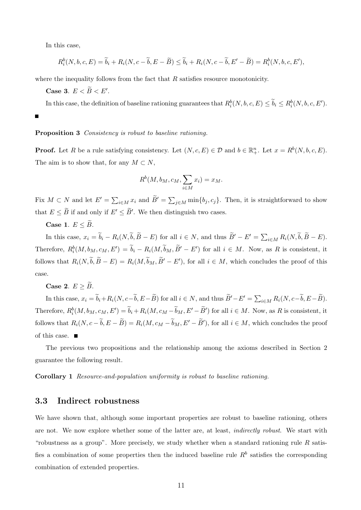In this case,

 $\blacksquare$ 

$$
R_i^b(N, b, c, E) = \widetilde{b}_i + R_i(N, c - \widetilde{b}, E - \widetilde{B}) \le \widetilde{b}_i + R_i(N, c - \widetilde{b}, E' - \widetilde{B}) = R_i^b(N, b, c, E'),
$$

where the inequality follows from the fact that  $R$  satisfies resource monotonicity.

Case 3.  $E < \widetilde{B} < E'$ .

In this case, the definition of baseline rationing guarantees that  $R_i^b(N, b, c, E) \le \tilde{b}_i \le R_i^b(N, b, c, E')$ .

#### Proposition 3 Consistency is robust to baseline rationing.

**Proof.** Let R be a rule satisfying consistency. Let  $(N, c, E) \in \mathcal{D}$  and  $b \in \mathbb{R}^n_+$ . Let  $x = R^b(N, b, c, E)$ . The aim is to show that, for any  $M \subset N$ ,

$$
R^{b}(M, b_{M}, c_{M}, \sum_{i \in M} x_{i}) = x_{M}.
$$

Fix  $M \subset N$  and let  $E' = \sum_{i \in M} x_i$  and  $\tilde{B}' = \sum_{j \in M} \min\{b_j, c_j\}$ . Then, it is straightforward to show that  $E \leq \tilde{B}$  if and only if  $E' \leq \tilde{B}'$ . We then distinguish two cases.

Case 1.  $E \leq \widetilde{B}$ .

In this case,  $x_i = \tilde{b}_i - R_i(N, \tilde{b}, \tilde{B} - E)$  for all  $i \in N$ , and thus  $\tilde{B}' - E' = \sum_{i \in M} R_i(N, \tilde{b}, \tilde{B} - E)$ . Therefore,  $R_i^b(M, b_M, c_M, E') = \tilde{b}_i - R_i(M, \tilde{b}_M, \tilde{B}' - E')$  for all  $i \in M$ . Now, as R is consistent, it follows that  $R_i(N, \tilde{b}, \tilde{B} - E) = R_i(M, \tilde{b}_M, \tilde{B}' - E')$ , for all  $i \in M$ , which concludes the proof of this case.

Case 2.  $E > \widetilde{B}$ .

In this case,  $x_i = \tilde{b}_i + R_i(N, c - \tilde{b}, E - \tilde{B})$  for all  $i \in N$ , and thus  $\tilde{B}' - E' = \sum_{i \in M} R_i(N, c - \tilde{b}, E - \tilde{B})$ . Therefore,  $R_i^b(M, b_M, c_M, E') = \tilde{b}_i + R_i(M, c_M - \tilde{b}_M, E' - \tilde{B}')$  for all  $i \in M$ . Now, as R is consistent, it follows that  $R_i(N, c - \tilde{b}, E - \tilde{B}) = R_i(M, c_M - \tilde{b}_M, E' - \tilde{B}')$ , for all  $i \in M$ , which concludes the proof of this case.  $\blacksquare$ 

The previous two propositions and the relationship among the axioms described in Section 2 guarantee the following result.

Corollary 1 Resource-and-population uniformity is robust to baseline rationing.

## 3.3 Indirect robustness

We have shown that, although some important properties are robust to baseline rationing, others are not. We now explore whether some of the latter are, at least, *indirectly robust*. We start with "robustness as a group". More precisely, we study whether when a standard rationing rule  $R$  satisfies a combination of some properties then the induced baseline rule  $R<sup>b</sup>$  satisfies the corresponding combination of extended properties.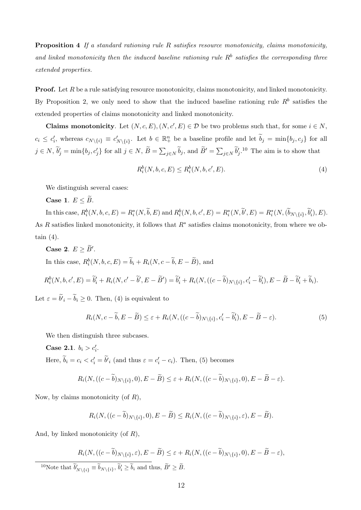Proposition 4 If a standard rationing rule R satisfies resource monotonicity, claims monotonicity, and linked monotonicity then the induced baseline rationing rule  $R<sup>b</sup>$  satisfies the corresponding three extended properties.

**Proof.** Let  $R$  be a rule satisfying resource monotonicity, claims monotonicity, and linked monotonicity. By Proposition 2, we only need to show that the induced baseline rationing rule  $R<sup>b</sup>$  satisfies the extended properties of claims monotonicity and linked monotonicity.

**Claims monotonicity**. Let  $(N, c, E), (N, c', E) \in \mathcal{D}$  be two problems such that, for some  $i \in N$ ,  $c_i \leq c'_i$ , whereas  $c_{N\setminus\{i\}} \equiv c'_{N\setminus\{i\}}$ . Let  $b \in \mathbb{R}^n_+$  be a baseline profile and let  $\widetilde{b}_j = \min\{b_j, c_j\}$  for all  $j \in N$ ,  $\tilde{b}'_j = \min\{b_j, c'_j\}$  for all  $j \in N$ ,  $\tilde{B} = \sum_{j \in N} \tilde{b}_j$ , and  $\tilde{B}' = \sum_{j \in N} \tilde{b}'_j$ .<sup>10</sup> The aim is to show that

$$
R_i^b(N, b, c, E) \le R_i^b(N, b, c', E). \tag{4}
$$

We distinguish several cases:

Case 1.  $E \leq \widetilde{B}$ .

In this case,  $R_i^b(N, b, c, E) = R_i^*(N, \tilde{b}, E)$  and  $R_i^b(N, b, c', E) = R_i^*(N, \tilde{b}', E) = R_i^*(N, (\tilde{b}_{N\setminus\{i\}}, \tilde{b}'_i), E)$ . As R satisfies linked monotonicity, it follows that  $R^*$  satisfies claims monotonicity, from where we obtain  $(4)$ .

Case 2.  $E \geq \widetilde{B}'$ .

In this case,  $R_i^b(N, b, c, E) = \tilde{b}_i + R_i(N, c - \tilde{b}, E - \tilde{B})$ , and

$$
R_i^b(N, b, c', E) = \widetilde{b}'_i + R_i(N, c' - \widetilde{b}', E - \widetilde{B}') = \widetilde{b}'_i + R_i(N, ((c - \widetilde{b})_{N \setminus \{i\}}, c'_i - \widetilde{b}'_i), E - \widetilde{B} - \widetilde{b}'_i + \widetilde{b}_i).
$$

Let  $\varepsilon = b_i - b_i \geq 0$ . Then, (4) is equivalent to

$$
R_i(N, c - \widetilde{b}, E - \widetilde{B}) \le \varepsilon + R_i(N, ((c - \widetilde{b})_{N \setminus \{i\}}, c_i' - \widetilde{b}_i'), E - \widetilde{B} - \varepsilon). \tag{5}
$$

We then distinguish three subcases.

**Case 2.1.**  $b_i > c'_i$ . Here,  $\tilde{b}_i = c_i < c'_i = \tilde{b'}_i$  (and thus  $\varepsilon = c'_i - c_i$ ). Then, (5) becomes

$$
R_i(N, ((c-\widetilde{b})_{N\setminus\{i\}}, 0), E-\widetilde{B}) \leq \varepsilon + R_i(N, ((c-\widetilde{b})_{N\setminus\{i\}}, 0), E-\widetilde{B}-\varepsilon).
$$

Now, by claims monotonicity (of  $R$ ),

$$
R_i(N, ((c-\widetilde{b})_{N\setminus\{i\}}, 0), E-\widetilde{B}) \leq R_i(N, ((c-\widetilde{b})_{N\setminus\{i\}}, \varepsilon), E-\widetilde{B}).
$$

And, by linked monotonicity (of  $R$ ),

$$
R_i(N, ((c - \widetilde{b})_{N \setminus \{i\}}, \varepsilon), E - \widetilde{B}) \le \varepsilon + R_i(N, ((c - \widetilde{b})_{N \setminus \{i\}}, 0), E - \widetilde{B} - \varepsilon),
$$
  
<sup>10</sup>Note that  $\widetilde{b}'_{N \setminus \{i\}} \equiv \widetilde{b}_{N \setminus \{i\}}, \widetilde{b}'_i \ge \widetilde{b}_i$  and thus,  $\widetilde{B}' \ge \widetilde{B}$ .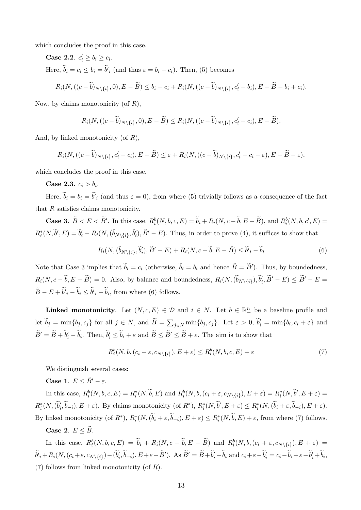which concludes the proof in this case.

Case 2.2. 
$$
c'_i \ge b_i \ge c_i
$$
.  
Here,  $\tilde{b}_i = c_i \le b_i = \tilde{b}'_i$  (and thus  $\varepsilon = b_i - c_i$ ). Then, (5) becomes

$$
R_i(N, ((c-\widetilde{b})_{N\setminus\{i\}}, 0), E-\widetilde{B}) \leq b_i - c_i + R_i(N, ((c-\widetilde{b})_{N\setminus\{i\}}, c'_i - b_i), E-\widetilde{B} - b_i + c_i).
$$

Now, by claims monotonicity (of  $R$ ).

$$
R_i(N, ((c-\widetilde{b})_{N\setminus\{i\}}, 0), E-\widetilde{B}) \leq R_i(N, ((c-\widetilde{b})_{N\setminus\{i\}}, c'_i-c_i), E-\widetilde{B}).
$$

And, by linked monotonicity (of  $R$ ),

$$
R_i(N, ((c-\widetilde{b})_{N\setminus\{i\}}, c'_i-c_i), E-\widetilde{B}) \leq \varepsilon + R_i(N, ((c-\widetilde{b})_{N\setminus\{i\}}, c'_i-c_i-\varepsilon), E-\widetilde{B}-\varepsilon),
$$

which concludes the proof in this case.

**Case 2.3.**  $c_i > b_i$ .

Here,  $b_i = b_i = b'_i$  (and thus  $\varepsilon = 0$ ), from where (5) trivially follows as a consequence of the fact that  $R$  satisfies claims monotonicity.

**Case 3.**  $\widetilde{B} < E < \widetilde{B}'$ . In this case,  $R_i^b(N, b, c, E) = \widetilde{b}_i + R_i(N, c - \widetilde{b}, E - \widetilde{B})$ , and  $R_i^b(N, b, c', E) =$  $R_i^*(N,\tilde{b}',E) = \tilde{b}'_i - R_i(N,(\tilde{b}_{N\setminus\{i\}},\tilde{b}'_i),\tilde{B}'-E)$ . Thus, in order to prove (4), it suffices to show that

$$
R_i(N, (\widetilde{b}_{N\setminus\{i\}}, \widetilde{b}'_i), \widetilde{B}' - E) + R_i(N, c - \widetilde{b}, E - \widetilde{B}) \le \widetilde{b}_i - \widetilde{b}_i
$$
\n(6)

Note that Case 3 implies that  $\tilde{b}_i = c_i$  (otherwise,  $\tilde{b}_i = b_i$  and hence  $\tilde{B} = \tilde{B}'$ ). Thus, by boundedness,  $R_i(N, c - \tilde{b}, E - \tilde{B}) = 0$ . Also, by balance and boundedness,  $R_i(N, (\tilde{b}_{N\setminus\{i\}}), \tilde{b}'_i, \tilde{B}' - E) \leq \tilde{B}' - E =$  $B - E + b'_{i} - b_{i} \le b'_{i} - b_{i}$ , from where (6) follows.

**Linked monotonicity**. Let  $(N, c, E) \in \mathcal{D}$  and  $i \in N$ . Let  $b \in \mathbb{R}_+^n$  be a baseline profile and let  $\tilde{b}_j = \min\{b_j, c_j\}$  for all  $j \in N$ , and  $\tilde{B} = \sum_{j \in N} \min\{b_j, c_j\}$ . Let  $\varepsilon > 0$ ,  $\tilde{b}'_i = \min\{b_i, c_i + \varepsilon\}$  and  $\widetilde{B}' = \widetilde{B} + \widetilde{b}'_i - \widetilde{b}_i$ . Then,  $\widetilde{b}'_i \leq \widetilde{b}_i + \varepsilon$  and  $\widetilde{B} \leq \widetilde{B}' \leq \widetilde{B} + \varepsilon$ . The aim is to show that

$$
R_i^b(N, b, (c_i + \varepsilon, c_{N \setminus \{i\}}), E + \varepsilon) \le R_i^b(N, b, c, E) + \varepsilon
$$
\n<sup>(7)</sup>

We distinguish several cases:

Case 1.  $E \leq \widetilde{B}' - \varepsilon$ .

In this case,  $R_i^b(N, b, c, E) = R_i^*(N, \tilde{b}, E)$  and  $R_i^b(N, b, (c_i + \varepsilon, c_{N\setminus\{i\}}), E + \varepsilon) = R_i^*(N, \tilde{b}', E + \varepsilon)$  $R_i^*(N, (\tilde{b}'_i, \tilde{b}_{-i}), E + \varepsilon)$ . By claims monotonicity (of  $R^*$ ),  $R_i^*(N, \tilde{b}', E + \varepsilon) \leq R_i^*(N, (\tilde{b}_i + \varepsilon, \tilde{b}_{-i}), E + \varepsilon)$ . By linked monotonicity (of  $R^*$ ),  $R_i^*(N, (\tilde{b}_i + \varepsilon, \tilde{b}_{-i}), E + \varepsilon) \leq R_i^*(N, \tilde{b}, E) + \varepsilon$ , from where (7) follows.

### Case 2.  $E \leq \widetilde{B}$ .

In this case,  $R_i^b(N, b, c, E) = \tilde{b}_i + R_i(N, c - \tilde{b}, E - \tilde{B})$  and  $R_i^b(N, b, (c_i + \varepsilon, c_{N\setminus\{i\}}), E + \varepsilon) =$  $\widetilde{b}_i + R_i(N, (c_i + \varepsilon, c_{N\setminus\{i\}}) - (\widetilde{b}_i', \widetilde{b}_{-i}), E + \varepsilon - \widetilde{B}')$ . As  $\widetilde{B}' = \widetilde{B} + \widetilde{b}_i' - \widetilde{b}_i$  and  $c_i + \varepsilon - \widetilde{b}_i' = c_i - \widetilde{b}_i + \varepsilon - \widetilde{b}_i' + \widetilde{b}_i$ , (7) follows from linked monotonicity (of R).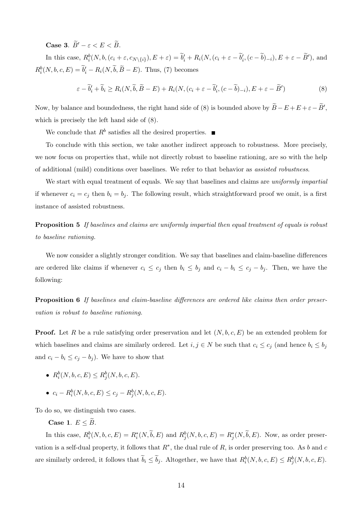Case 3.  $\widetilde{B}' - \varepsilon < E < \widetilde{B}$ .

In this case,  $R_i^b(N, b, (c_i + \varepsilon, c_{N\setminus\{i\}}), E + \varepsilon) = \tilde{b}'_i + R_i(N, (c_i + \varepsilon - \tilde{b}'_i, (c - \tilde{b})_{-i}), E + \varepsilon - \tilde{B}')$ , and  $R_i^b(N, b, c, E) = \tilde{b}'_i - R_i(N, \tilde{b}, \tilde{B} - E)$ . Thus, (7) becomes

$$
\varepsilon - \widetilde{b}'_i + \widetilde{b}_i \ge R_i(N, \widetilde{b}, \widetilde{B} - E) + R_i(N, (c_i + \varepsilon - \widetilde{b}'_i, (c - \widetilde{b})_{-i}), E + \varepsilon - \widetilde{B}')
$$
(8)

Now, by balance and boundedness, the right hand side of (8) is bounded above by  $\widetilde{B}-E+E+\varepsilon-\widetilde{B}'$ , which is precisely the left hand side of (8).

We conclude that  $R^b$  satisfies all the desired properties.

To conclude with this section, we take another indirect approach to robustness. More precisely, we now focus on properties that, while not directly robust to baseline rationing, are so with the help of additional (mild) conditions over baselines. We refer to that behavior as assisted robustness.

We start with equal treatment of equals. We say that baselines and claims are uniformly impartial if whenever  $c_i = c_j$  then  $b_i = b_j$ . The following result, which straightforward proof we omit, is a first instance of assisted robustness.

**Proposition 5** If baselines and claims are uniformly impartial then equal treatment of equals is robust to baseline rationing.

We now consider a slightly stronger condition. We say that baselines and claim-baseline differences are ordered like claims if whenever  $c_i \leq c_j$  then  $b_i \leq b_j$  and  $c_i - b_i \leq c_j - b_j$ . Then, we have the following:

**Proposition 6** If baselines and claim-baseline differences are ordered like claims then order preservation is robust to baseline rationing.

**Proof.** Let R be a rule satisfying order preservation and let  $(N, b, c, E)$  be an extended problem for which baselines and claims are similarly ordered. Let  $i, j \in N$  be such that  $c_i \leq c_j$  (and hence  $b_i \leq b_j$ and  $c_i - b_i \leq c_j - b_j$ . We have to show that

- $R_i^b(N, b, c, E) \leq R_j^b(N, b, c, E).$
- $c_i R_i^b(N, b, c, E) \leq c_j R_j^b(N, b, c, E).$

To do so, we distinguish two cases.

Case 1.  $E \leq \tilde{B}$ .

In this case,  $R_i^b(N, b, c, E) = R_i^*(N, \tilde{b}, E)$  and  $R_j^b(N, b, c, E) = R_j^*(N, \tilde{b}, E)$ . Now, as order preservation is a self-dual property, it follows that  $R^*$ , the dual rule of R, is order preserving too. As b and c are similarly ordered, it follows that  $\widetilde{b}_i \leq \widetilde{b}_j$ . Altogether, we have that  $R_i^b(N, b, c, E) \leq R_j^b(N, b, c, E)$ .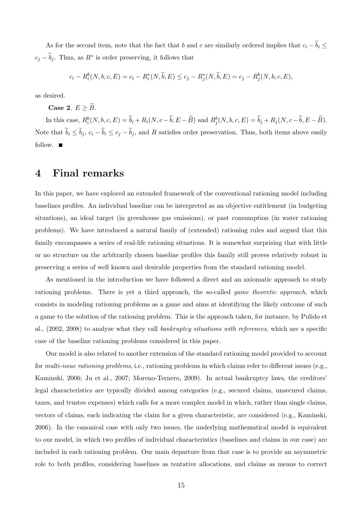As for the second item, note that the fact that b and c are similarly ordered implies that  $c_i - \tilde{b}_i \leq$  $c_j - \tilde{b}_j$ . Thus, as  $R^*$  is order preserving, it follows that

$$
c_i - R_i^b(N, b, c, E) = c_i - R_i^*(N, \widetilde{b}, E) \le c_j - R_j^*(N, \widetilde{b}, E) = c_j - R_j^b(N, b, c, E),
$$

as desired.

Case 2.  $E > \widetilde{B}$ .

In this case,  $R_i^b(N, b, c, E) = \tilde{b}_i + R_i(N, c - \tilde{b}, E - \tilde{B})$  and  $R_j^b(N, b, c, E) = \tilde{b}_j + R_j(N, c - \tilde{b}, E - \tilde{B})$ . Note that  $\widetilde{b}_i \leq \widetilde{b}_j$ ,  $c_i - \widetilde{b}_i \leq c_j - \widetilde{b}_j$ , and R satisfies order preservation. Thus, both items above easily follow.  $\blacksquare$ 

## 4 Final remarks

In this paper, we have explored an extended framework of the conventional rationing model including baselines profiles. An individual baseline can be interpreted as an objective entitlement (in budgeting situations), an ideal target (in greenhouse gas emissions), or past consumption (in water rationing problems). We have introduced a natural family of (extended) rationing rules and argued that this family encompasses a series of real-life rationing situations. It is somewhat surprising that with little or no structure on the arbitrarily chosen baseline profiles this family still proves relatively robust in preserving a series of well known and desirable properties from the standard rationing model.

As mentioned in the introduction we have followed a direct and an axiomatic approach to study rationing problems. There is yet a third approach, the so-called *game theoretic approach*, which consists in modeling rationing problems as a game and aims at identifying the likely outcome of such a game to the solution of the rationing problem. This is the approach taken, for instance, by Pulido et al., (2002, 2008) to analyze what they call bankruptcy situations with references, which are a specific case of the baseline rationing problems considered in this paper.

Our model is also related to another extension of the standard rationing model provided to account for multi-issue rationing problems, i.e., rationing problems in which claims refer to different issues (e.g., Kaminski, 2006; Ju et al., 2007; Moreno-Ternero, 2009). In actual bankruptcy laws, the creditors' legal characteristics are typically divided among categories (e.g., secured claims, unsecured claims, taxes, and trustee expenses) which calls for a more complex model in which, rather than single claims, vectors of claims, each indicating the claim for a given characteristic, are considered (e.g., Kaminski, 2006). In the canonical case with only two issues, the underlying mathematical model is equivalent to our model, in which two profiles of individual characteristics (baselines and claims in our case) are included in each rationing problem. Our main departure from that case is to provide an asymmetric role to both profiles, considering baselines as tentative allocations, and claims as means to correct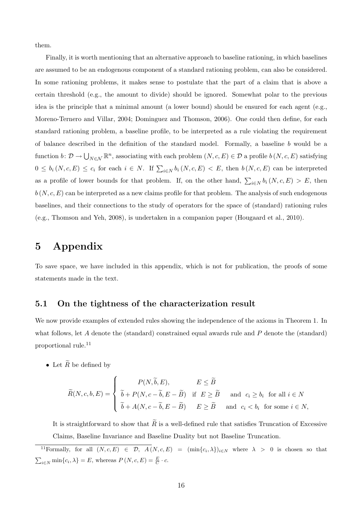them.

Finally, it is worth mentioning that an alternative approach to baseline rationing, in which baselines are assumed to be an endogenous component of a standard rationing problem, can also be considered. In some rationing problems, it makes sense to postulate that the part of a claim that is above a certain threshold (e.g., the amount to divide) should be ignored. Somewhat polar to the previous idea is the principle that a minimal amount (a lower bound) should be ensured for each agent (e.g., Moreno-Ternero and Villar, 2004; Dominguez and Thomson, 2006). One could then define, for each standard rationing problem, a baseline profile, to be interpreted as a rule violating the requirement of balance described in the definition of the standard model. Formally, a baseline b would be a function  $b: \mathcal{D} \to \bigcup_{N \in \mathcal{N}} \mathbb{R}^n$ , associating with each problem  $(N, c, E) \in \mathcal{D}$  a profile  $b(N, c, E)$  satisfying  $0 \leq b_i(N,c,E) \leq c_i$  for each  $i \in N$ . If  $\sum_{i \in N} b_i(N,c,E) < E$ , then  $b(N,c,E)$  can be interpreted as a profile of lower bounds for that problem. If, on the other hand,  $\sum_{i\in N} b_i(N,c,E) > E$ , then  $b(N, c, E)$  can be interpreted as a new claims profile for that problem. The analysis of such endogenous baselines, and their connections to the study of operators for the space of (standard) rationing rules (e.g., Thomson and Yeh, 2008), is undertaken in a companion paper (Hougaard et al., 2010).

## 5 Appendix

To save space, we have included in this appendix, which is not for publication, the proofs of some statements made in the text.

## 5.1 On the tightness of the characterization result

We now provide examples of extended rules showing the independence of the axioms in Theorem 1. In what follows, let A denote the (standard) constrained equal awards rule and P denote the (standard) proportional rule.<sup>11</sup>

• Let  $\widetilde{R}$  be defined by

$$
\widetilde{R}(N,c,b,E) = \begin{cases}\nP(N,\widetilde{b},E), & E \leq \widetilde{B} \\
\widetilde{b} + P(N,c - \widetilde{b},E - \widetilde{B}) & \text{if } E \geq \widetilde{B} \quad \text{and } c_i \geq b_i \text{ for all } i \in N \\
\widetilde{b} + A(N,c - \widetilde{b},E - \widetilde{B}) & E \geq \widetilde{B} \quad \text{and } c_i < b_i \text{ for some } i \in N,\n\end{cases}
$$

It is straightforward to show that  $\widetilde{R}$  is a well-defined rule that satisfies Truncation of Excessive Claims, Baseline Invariance and Baseline Duality but not Baseline Truncation.

<sup>&</sup>lt;sup>11</sup>Formally, for all  $(N, c, E) \in \mathcal{D}$ ,  $A(N, c, E) = (\min\{c_i, \lambda\})_{i \in N}$  where  $\lambda > 0$  is chosen so that  $\sum_{i\in\mathbb{N}}\min\{c_i,\lambda\}=E$ , whereas  $P(N,c,E)=\frac{E}{C}\cdot c$ .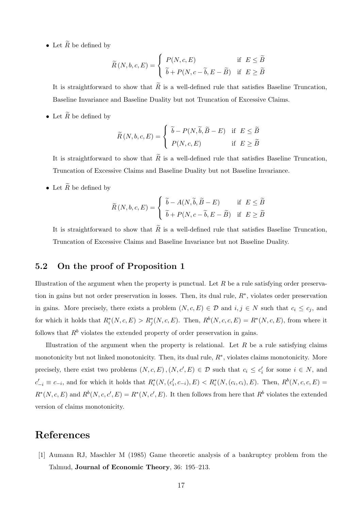• Let  $\widetilde{R}$  be defined by

$$
\widetilde{R}(N, b, c, E) = \begin{cases}\nP(N, c, E) & \text{if } E \le \widetilde{B} \\
\widetilde{b} + P(N, c - \widetilde{b}, E - \widetilde{B}) & \text{if } E \ge \widetilde{B}\n\end{cases}
$$

It is straightforward to show that  $\widetilde{R}$  is a well-defined rule that satisfies Baseline Truncation, Baseline Invariance and Baseline Duality but not Truncation of Excessive Claims.

• Let  $\widetilde{R}$  be defined by

$$
\widetilde{R}(N, b, c, E) = \begin{cases}\n\widetilde{b} - P(N, \widetilde{b}, \widetilde{B} - E) & \text{if } E \leq \widetilde{B} \\
P(N, c, E) & \text{if } E \geq \widetilde{B}\n\end{cases}
$$

It is straightforward to show that  $\widetilde{R}$  is a well-defined rule that satisfies Baseline Truncation, Truncation of Excessive Claims and Baseline Duality but not Baseline Invariance.

• Let  $\widetilde{R}$  be defined by

$$
\widetilde{R}(N, b, c, E) = \begin{cases}\n\widetilde{b} - A(N, \widetilde{b}, \widetilde{B} - E) & \text{if } E \leq \widetilde{B} \\
\widetilde{b} + P(N, c - \widetilde{b}, E - \widetilde{B}) & \text{if } E \geq \widetilde{B}\n\end{cases}
$$

It is straightforward to show that  $\widetilde{R}$  is a well-defined rule that satisfies Baseline Truncation, Truncation of Excessive Claims and Baseline Invariance but not Baseline Duality.

### 5.2 On the proof of Proposition 1

Illustration of the argument when the property is punctual. Let  $R$  be a rule satisfying order preservation in gains but not order preservation in losses. Then, its dual rule,  $R^*$ , violates order preservation in gains. More precisely, there exists a problem  $(N, c, E) \in \mathcal{D}$  and  $i, j \in N$  such that  $c_i \leq c_j$ , and for which it holds that  $R_i^*(N, c, E) > R_j^*(N, c, E)$ . Then,  $R^b(N, c, c, E) = R^*(N, c, E)$ , from where it follows that  $R<sup>b</sup>$  violates the extended property of order preservation in gains.

Illustration of the argument when the property is relational. Let  $R$  be a rule satisfying claims monotonicity but not linked monotonicity. Then, its dual rule,  $R^*$ , violates claims monotonicity. More precisely, there exist two problems  $(N, c, E), (N, c', E) \in \mathcal{D}$  such that  $c_i \leq c'_i$  for some  $i \in N$ , and  $c'_{-i} \equiv c_{-i}$ , and for which it holds that  $R_i^*(N, (c'_i, c_{-i}), E) < R_i^*(N, (c_i, c_i), E)$ . Then,  $R^b(N, c, c, E)$  $R^*(N, c, E)$  and  $R^b(N, c, c', E) = R^*(N, c', E)$ . It then follows from here that  $R^b$  violates the extended version of claims monotonicity.

## References

[1] Aumann RJ, Maschler M (1985) Game theoretic analysis of a bankruptcy problem from the Talmud, Journal of Economic Theory, 36: 195–213.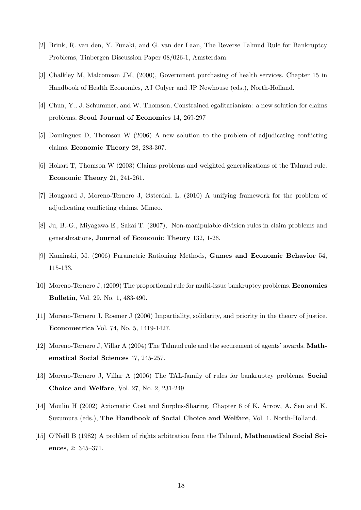- [2] Brink, R. van den, Y. Funaki, and G. van der Laan, The Reverse Talmud Rule for Bankruptcy Problems, Tinbergen Discussion Paper 08/026-1, Amsterdam.
- [3] Chalkley M, Malcomson JM, (2000), Government purchasing of health services. Chapter 15 in Handbook of Health Economics, AJ Culyer and JP Newhouse (eds.), North-Holland.
- [4] Chun, Y., J. Schummer, and W. Thomson, Constrained egalitarianism: a new solution for claims problems, Seoul Journal of Economics 14, 269-297
- [5] Dominguez D, Thomson W (2006) A new solution to the problem of adjudicating conflicting claims. Economic Theory 28, 283-307.
- [6] Hokari T, Thomson W (2003) Claims problems and weighted generalizations of the Talmud rule. Economic Theory 21, 241-261.
- [7] Hougaard J, Moreno-Ternero J, Østerdal, L, (2010) A unifying framework for the problem of adjudicating conflicting claims. Mimeo.
- [8] Ju, B.-G., Miyagawa E., Sakai T. (2007), Non-manipulable division rules in claim problems and generalizations, Journal of Economic Theory 132, 1-26.
- [9] Kaminski, M. (2006) Parametric Rationing Methods, Games and Economic Behavior 54, 115-133.
- [10] Moreno-Ternero J, (2009) The proportional rule for multi-issue bankruptcy problems. Economics Bulletin, Vol. 29, No. 1, 483-490.
- [11] Moreno-Ternero J, Roemer J (2006) Impartiality, solidarity, and priority in the theory of justice. Econometrica Vol. 74, No. 5, 1419-1427.
- [12] Moreno-Ternero J, Villar A (2004) The Talmud rule and the securement of agents' awards. Mathematical Social Sciences 47, 245-257.
- [13] Moreno-Ternero J, Villar A (2006) The TAL-family of rules for bankruptcy problems. Social Choice and Welfare, Vol. 27, No. 2, 231-249
- [14] Moulin H (2002) Axiomatic Cost and Surplus-Sharing, Chapter 6 of K. Arrow, A. Sen and K. Suzumura (eds.), The Handbook of Social Choice and Welfare, Vol. 1. North-Holland.
- [15] O'Neill B (1982) A problem of rights arbitration from the Talmud, Mathematical Social Sciences, 2: 345–371.